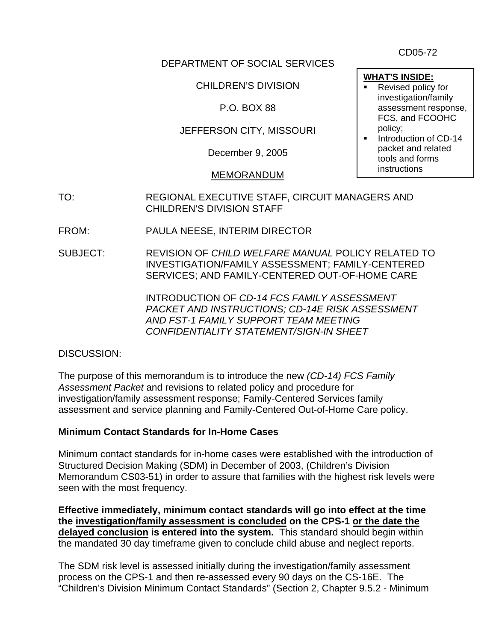CD05-72

#### DEPARTMENT OF SOCIAL SERVICES

CHILDREN'S DIVISION

### P.O. BOX 88

#### JEFFERSON CITY, MISSOURI

December 9, 2005

#### MEMORANDUM

- TO: REGIONAL EXECUTIVE STAFF, CIRCUIT MANAGERS AND CHILDREN'S DIVISION STAFF
- FROM: PAULA NEESE, INTERIM DIRECTOR
- SUBJECT: REVISION OF *CHILD WELFARE MANUAL* POLICY RELATED TO INVESTIGATION/FAMILY ASSESSMENT; FAMILY-CENTERED SERVICES; AND FAMILY-CENTERED OUT-OF-HOME CARE

 INTRODUCTION OF *CD-14 FCS FAMILY ASSESSMENT PACKET AND INSTRUCTIONS; CD-14E RISK ASSESSMENT AND FST-1 FAMILY SUPPORT TEAM MEETING CONFIDENTIALITY STATEMENT/SIGN-IN SHEET* 

#### DISCUSSION:

The purpose of this memorandum is to introduce the new *(CD-14) FCS Family Assessment Packet* and revisions to related policy and procedure for investigation/family assessment response; Family-Centered Services family assessment and service planning and Family-Centered Out-of-Home Care policy.

#### **Minimum Contact Standards for In-Home Cases**

Minimum contact standards for in-home cases were established with the introduction of Structured Decision Making (SDM) in December of 2003, (Children's Division Memorandum CS03-51) in order to assure that families with the highest risk levels were seen with the most frequency.

**Effective immediately, minimum contact standards will go into effect at the time the investigation/family assessment is concluded on the CPS-1 or the date the delayed conclusion is entered into the system.** This standard should begin within the mandated 30 day timeframe given to conclude child abuse and neglect reports.

The SDM risk level is assessed initially during the investigation/family assessment process on the CPS-1 and then re-assessed every 90 days on the CS-16E. The "Children's Division Minimum Contact Standards" (Section 2, Chapter 9.5.2 - Minimum

- **WHAT'S INSIDE:** Revised policy for investigation/family assessment response, FCS, and FCOOHC policy;
- Introduction of CD-14 packet and related tools and forms instructions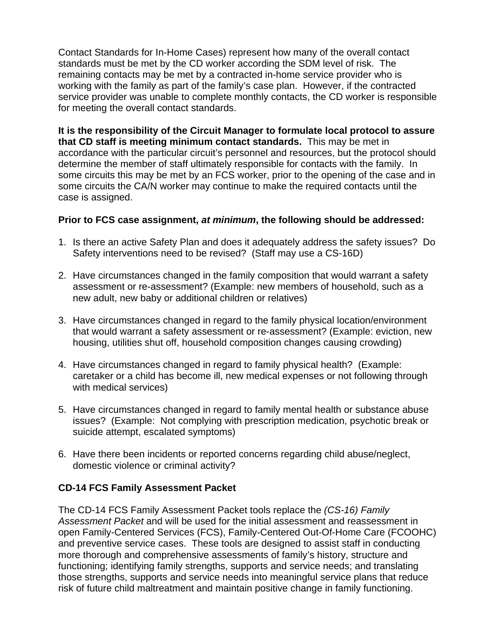Contact Standards for In-Home Cases) represent how many of the overall contact standards must be met by the CD worker according the SDM level of risk. The remaining contacts may be met by a contracted in-home service provider who is working with the family as part of the family's case plan. However, if the contracted service provider was unable to complete monthly contacts, the CD worker is responsible for meeting the overall contact standards.

**It is the responsibility of the Circuit Manager to formulate local protocol to assure that CD staff is meeting minimum contact standards.** This may be met in accordance with the particular circuit's personnel and resources, but the protocol should determine the member of staff ultimately responsible for contacts with the family. In some circuits this may be met by an FCS worker, prior to the opening of the case and in some circuits the CA/N worker may continue to make the required contacts until the case is assigned.

#### **Prior to FCS case assignment,** *at minimum***, the following should be addressed:**

- 1. Is there an active Safety Plan and does it adequately address the safety issues? Do Safety interventions need to be revised? (Staff may use a CS-16D)
- 2. Have circumstances changed in the family composition that would warrant a safety assessment or re-assessment? (Example: new members of household, such as a new adult, new baby or additional children or relatives)
- 3. Have circumstances changed in regard to the family physical location/environment that would warrant a safety assessment or re-assessment? (Example: eviction, new housing, utilities shut off, household composition changes causing crowding)
- 4. Have circumstances changed in regard to family physical health? (Example: caretaker or a child has become ill, new medical expenses or not following through with medical services)
- 5. Have circumstances changed in regard to family mental health or substance abuse issues? (Example: Not complying with prescription medication, psychotic break or suicide attempt, escalated symptoms)
- 6. Have there been incidents or reported concerns regarding child abuse/neglect, domestic violence or criminal activity?

#### **CD-14 FCS Family Assessment Packet**

The CD-14 FCS Family Assessment Packet tools replace the *(CS-16) Family Assessment Packet* and will be used for the initial assessment and reassessment in open Family-Centered Services (FCS), Family-Centered Out-Of-Home Care (FCOOHC) and preventive service cases. These tools are designed to assist staff in conducting more thorough and comprehensive assessments of family's history, structure and functioning; identifying family strengths, supports and service needs; and translating those strengths, supports and service needs into meaningful service plans that reduce risk of future child maltreatment and maintain positive change in family functioning.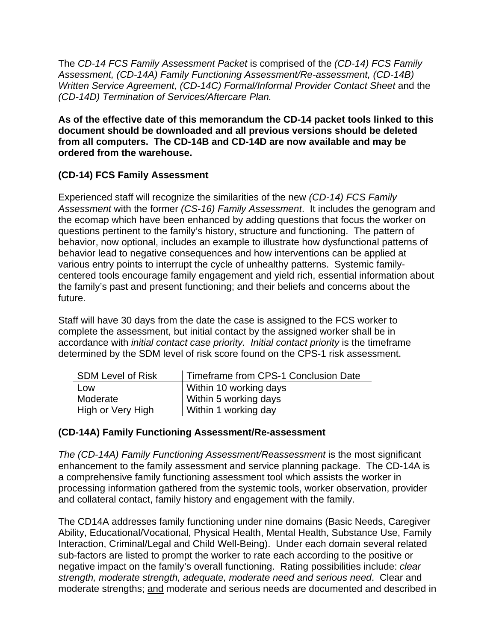The *CD-14 FCS Family Assessment Packet* is comprised of the *(CD-14) FCS Family Assessment, (CD-14A) Family Functioning Assessment/Re-assessment, (CD-14B) Written Service Agreement, (CD-14C) Formal/Informal Provider Contact Sheet* and the *(CD-14D) Termination of Services/Aftercare Plan.*

**As of the effective date of this memorandum the CD-14 packet tools linked to this document should be downloaded and all previous versions should be deleted from all computers. The CD-14B and CD-14D are now available and may be ordered from the warehouse.** 

## **(CD-14) FCS Family Assessment**

Experienced staff will recognize the similarities of the new *(CD-14) FCS Family Assessment* with the former *(CS-16) Family Assessment*. It includes the genogram and the ecomap which have been enhanced by adding questions that focus the worker on questions pertinent to the family's history, structure and functioning. The pattern of behavior, now optional, includes an example to illustrate how dysfunctional patterns of behavior lead to negative consequences and how interventions can be applied at various entry points to interrupt the cycle of unhealthy patterns. Systemic familycentered tools encourage family engagement and yield rich, essential information about the family's past and present functioning; and their beliefs and concerns about the future.

Staff will have 30 days from the date the case is assigned to the FCS worker to complete the assessment, but initial contact by the assigned worker shall be in accordance with *initial contact case priority. Initial contact priority* is the timeframe determined by the SDM level of risk score found on the CPS-1 risk assessment.

| <b>SDM Level of Risk</b> | Timeframe from CPS-1 Conclusion Date |
|--------------------------|--------------------------------------|
| Low                      | Within 10 working days               |
| Moderate                 | Within 5 working days                |
| High or Very High        | Within 1 working day                 |

#### **(CD-14A) Family Functioning Assessment/Re-assessment**

*The (CD-14A) Family Functioning Assessment/Reassessment* is the most significant enhancement to the family assessment and service planning package. The CD-14A is a comprehensive family functioning assessment tool which assists the worker in processing information gathered from the systemic tools, worker observation, provider and collateral contact, family history and engagement with the family.

The CD14A addresses family functioning under nine domains (Basic Needs, Caregiver Ability, Educational/Vocational, Physical Health, Mental Health, Substance Use, Family Interaction, Criminal/Legal and Child Well-Being). Under each domain several related sub-factors are listed to prompt the worker to rate each according to the positive or negative impact on the family's overall functioning. Rating possibilities include: *clear strength, moderate strength, adequate, moderate need and serious need*. Clear and moderate strengths; and moderate and serious needs are documented and described in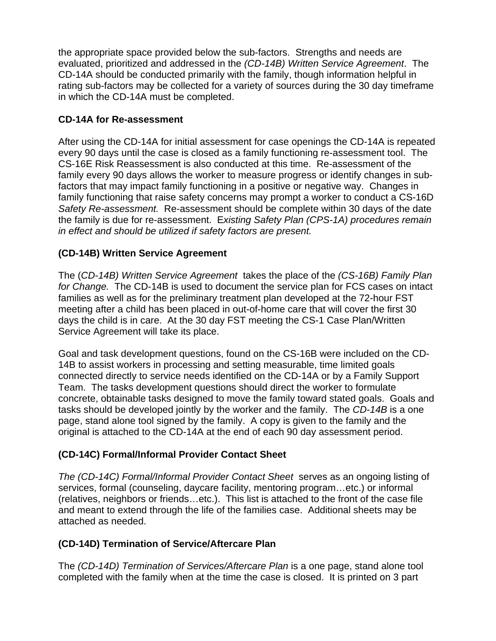the appropriate space provided below the sub-factors. Strengths and needs are evaluated, prioritized and addressed in the *(CD-14B) Written Service Agreement*. The CD-14A should be conducted primarily with the family, though information helpful in rating sub-factors may be collected for a variety of sources during the 30 day timeframe in which the CD-14A must be completed.

### **CD-14A for Re-assessment**

After using the CD-14A for initial assessment for case openings the CD-14A is repeated every 90 days until the case is closed as a family functioning re-assessment tool. The CS-16E Risk Reassessment is also conducted at this time. Re-assessment of the family every 90 days allows the worker to measure progress or identify changes in subfactors that may impact family functioning in a positive or negative way. Changes in family functioning that raise safety concerns may prompt a worker to conduct a CS-16D *Safety Re-assessment.* Re-assessment should be complete within 30 days of the date the family is due for re-assessment. E*xisting Safety Plan (CPS-1A) procedures remain in effect and should be utilized if safety factors are present.*

## **(CD-14B) Written Service Agreement**

The (*CD-14B) Written Service Agreement* takes the place of the *(CS-16B) Family Plan for Change.* The CD-14B is used to document the service plan for FCS cases on intact families as well as for the preliminary treatment plan developed at the 72-hour FST meeting after a child has been placed in out-of-home care that will cover the first 30 days the child is in care. At the 30 day FST meeting the CS-1 Case Plan/Written Service Agreement will take its place.

Goal and task development questions, found on the CS-16B were included on the CD-14B to assist workers in processing and setting measurable, time limited goals connected directly to service needs identified on the CD-14A or by a Family Support Team. The tasks development questions should direct the worker to formulate concrete, obtainable tasks designed to move the family toward stated goals. Goals and tasks should be developed jointly by the worker and the family. The *CD-14B* is a one page, stand alone tool signed by the family. A copy is given to the family and the original is attached to the CD-14A at the end of each 90 day assessment period.

#### **(CD-14C) Formal/Informal Provider Contact Sheet**

*The (CD-14C) Formal/Informal Provider Contact Sheet* serves as an ongoing listing of services, formal (counseling, daycare facility, mentoring program…etc.) or informal (relatives, neighbors or friends…etc.). This list is attached to the front of the case file and meant to extend through the life of the families case. Additional sheets may be attached as needed.

#### **(CD-14D) Termination of Service/Aftercare Plan**

The *(CD-14D) Termination of Services/Aftercare Plan* is a one page, stand alone tool completed with the family when at the time the case is closed. It is printed on 3 part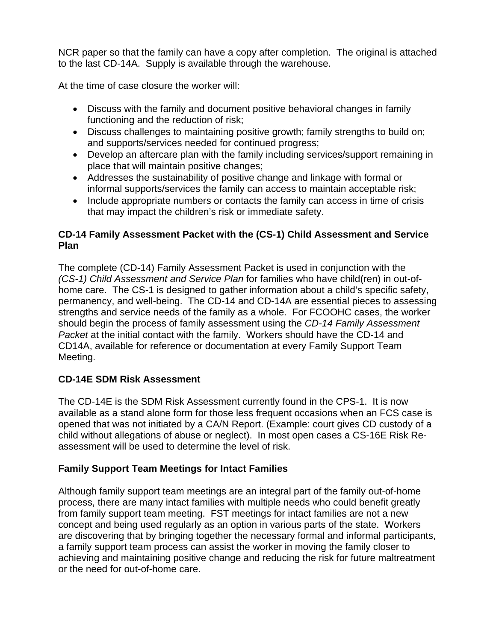NCR paper so that the family can have a copy after completion. The original is attached to the last CD-14A. Supply is available through the warehouse.

At the time of case closure the worker will:

- Discuss with the family and document positive behavioral changes in family functioning and the reduction of risk;
- Discuss challenges to maintaining positive growth; family strengths to build on; and supports/services needed for continued progress;
- Develop an aftercare plan with the family including services/support remaining in place that will maintain positive changes;
- Addresses the sustainability of positive change and linkage with formal or informal supports/services the family can access to maintain acceptable risk;
- Include appropriate numbers or contacts the family can access in time of crisis that may impact the children's risk or immediate safety.

### **CD-14 Family Assessment Packet with the (CS-1) Child Assessment and Service Plan**

The complete (CD-14) Family Assessment Packet is used in conjunction with the *(CS-1) Child Assessment and Service Plan* for families who have child(ren) in out-ofhome care. The CS-1 is designed to gather information about a child's specific safety, permanency, and well-being. The CD-14 and CD-14A are essential pieces to assessing strengths and service needs of the family as a whole. For FCOOHC cases, the worker should begin the process of family assessment using the *CD-14 Family Assessment Packet* at the initial contact with the family. Workers should have the CD-14 and CD14A, available for reference or documentation at every Family Support Team Meeting.

#### **CD-14E SDM Risk Assessment**

The CD-14E is the SDM Risk Assessment currently found in the CPS-1. It is now available as a stand alone form for those less frequent occasions when an FCS case is opened that was not initiated by a CA/N Report. (Example: court gives CD custody of a child without allegations of abuse or neglect). In most open cases a CS-16E Risk Reassessment will be used to determine the level of risk.

#### **Family Support Team Meetings for Intact Families**

Although family support team meetings are an integral part of the family out-of-home process, there are many intact families with multiple needs who could benefit greatly from family support team meeting. FST meetings for intact families are not a new concept and being used regularly as an option in various parts of the state. Workers are discovering that by bringing together the necessary formal and informal participants, a family support team process can assist the worker in moving the family closer to achieving and maintaining positive change and reducing the risk for future maltreatment or the need for out-of-home care.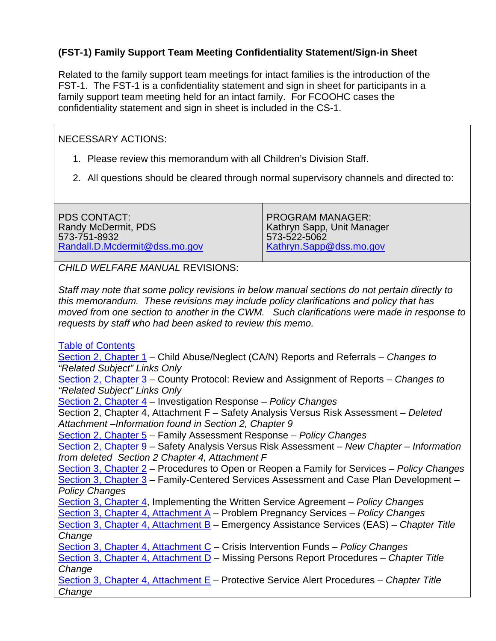# **(FST-1) Family Support Team Meeting Confidentiality Statement/Sign-in Sheet**

Related to the family support team meetings for intact families is the introduction of the FST-1. The FST-1 is a confidentiality statement and sign in sheet for participants in a family support team meeting held for an intact family. For FCOOHC cases the confidentiality statement and sign in sheet is included in the CS-1.

#### NECESSARY ACTIONS:

- 1. Please review this memorandum with all Children's Division Staff.
- 2. All questions should be cleared through normal supervisory channels and directed to:

PDS CONTACT: Randy McDermit, PDS 573-751-8932 [Randall.D.Mcdermit@dss.mo.gov](mailto:Randall.D.Mcdermit@dss.mo.gov)

PROGRAM MANAGER: Kathryn Sapp, Unit Manager 573-522-5062 [Kathryn.Sapp@dss.mo.gov](mailto:Kathryn.Sapp@dss.mo.gov)

*CHILD WELFARE MANUAL* REVISIONS:

*Staff may note that some policy revisions in below manual sections do not pertain directly to this memorandum. These revisions may include policy clarifications and policy that has moved from one section to another in the CWM. Such clarifications were made in response to requests by staff who had been asked to review this memo.* 

[Table of Contents](http://www.dss.mo.gov/cd/info/cwmanual/index.htm)

[Section 2, Chapter 1](http://www.dss.mo.gov/cd/info/cwmanual/section2/ch1/sec2ch1index.htm) – Child Abuse/Neglect (CA/N) Reports and Referrals – *Changes to "Related Subject" Links Only*  [Section 2, Chapter 3](http://www.dss.mo.gov/cd/info/cwmanual/section2/ch3/sec2ch3index.htm) – County Protocol: Review and Assignment of Reports – *Changes to* 

*"Related Subject" Links Only*

[Section 2, Chapter 4](http://www.dss.mo.gov/cd/info/cwmanual/section2/ch4/sec2ch4index.htm) – Investigation Response – *Policy Changes*

Section 2, Chapter 4, Attachment F – Safety Analysis Versus Risk Assessment – *Deleted Attachment –Information found in Section 2, Chapter 9* 

[Section 2, Chapter 5](http://www.dss.mo.gov/cd/info/cwmanual/section2/ch5/sec2ch5index.htm) – [Family Assessment Response](http://dssweb/cs/cwmanual/section2/sec2ch5.pdf) – *Policy Changes*

[Section 2, Chapter 9](http://www.dss.mo.gov/cd/info/cwmanual/section2/ch9/sec2ch9index.htm) – Safety Analysis Versus Risk Assessment – *New Chapter – Information from deleted Section 2 Chapter 4, Attachment F* 

[Section 3, Chapter 2](http://www.dss.mo.gov/cd/info/cwmanual/section3/ch2/sec3ch2index.htm) – Procedures to Open or Reopen a Family for Services – *Policy Changes* [Section 3, Chapter 3](http://www.dss.mo.gov/cd/info/cwmanual/section3/ch3/sec3ch3index.htm) – Family-Centered Services Assessment and Case Plan Development – *Policy Changes*  [Section 3, Chapter 4](http://www.dss.mo.gov/cd/info/cwmanual/section3/ch4/sec3ch4index.htm), Implementing the Written Service Agreement – *Policy Changes*

[Section 3, Chapter 4, Attachment A](http://www.dss.mo.gov/cd/info/cwmanual/section3/ch4/sec3ch4attacha.htm) – Problem Pregnancy Services – *Policy Changes* 

[Section 3, Chapter 4, Attachment B](http://www.dss.mo.gov/cd/info/cwmanual/section3/ch4/sec3ch4attachb.htm) – Emergency Assistance Services (EAS) – *Chapter Title Change* 

[Section 3, Chapter 4, Attachment C](http://www.dss.mo.gov/cd/info/cwmanual/section3/ch4/sec3ch4attachc.htm) – Crisis Intervention Funds – *Policy Changes* 

[Section 3, Chapter 4, Attachment D](http://www.dss.mo.gov/cd/info/cwmanual/section3/ch4/sec3ch4attachd.htm) – Missing Persons Report Procedures – *Chapter Title Change* 

[Section 3, Chapter 4, Attachment E](http://www.dss.mo.gov/cd/info/cwmanual/section3/ch4/sec3ch4attache.htm) – Protective Service Alert Procedures – *Chapter Title Change*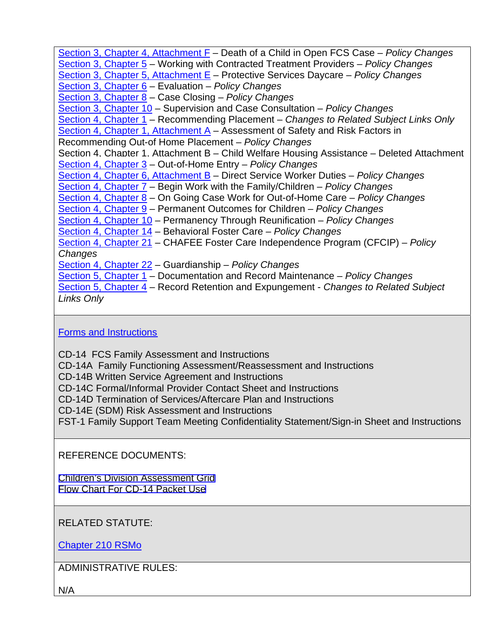[Section 3, Chapter 4, Attachment F](http://www.dss.mo.gov/cd/info/cwmanual/section3/ch4/sec3ch4attachf.htm) – Death of a Child in Open FCS Case – *Policy Changes*  [Section 3, Chapter 5](http://www.dss.mo.gov/cd/info/cwmanual/section3/ch5/sec3ch5index.htm) – Working with Contracted Treatment Providers – *Policy Changes* [Section 3, Chapter 5, Attachment E](http://www.dss.mo.gov/cd/info/cwmanual/section3/ch5/sec3ch5attache.htm) – Protective Services Daycare – *Policy Changes* [Section 3, Chapter 6](http://www.dss.mo.gov/cd/info/cwmanual/section3/ch6/sec3ch6index.htm) – Evaluation – *Policy Changes*  [Section 3, Chapter 8](http://www.dss.mo.gov/cd/info/cwmanual/section3/ch8/sec3ch8index.htm) – Case Closing – *Policy Changes*  [Section 3, Chapter 10](http://www.dss.mo.gov/cd/info/cwmanual/section3/ch10/sec3ch10index.htm) – Supervision and Case Consultation – *Policy Changes*  [Section 4, Chapter 1](http://www.dss.mo.gov/cd/info/cwmanual/section4/ch1/sec4ch1index.htm) – Recommending Placement – *Changes to Related Subject Links Only*  [Section 4, Chapter 1, Attachment A](http://www.dss.mo.gov/cd/info/cwmanual/section4/ch1/sec4ch1attacha.htm) – Assessment of Safety and Risk Factors in Recommending Out-of Home Placement – *Policy Changes*  Section 4, Chapter 1, Attachment B – Child Welfare Housing Assistance – Deleted Attachment [Section 4, Chapter 3](http://www.dss.mo.gov/cd/info/cwmanual/section4/ch3/sec4ch3index.htm) – Out-of-Home Entry – *Policy Changes* [Section 4, Chapter 6, Attachment B](http://www.dss.mo.gov/cd/info/cwmanual/section4/ch6/sec4ch6attachb.htm) – Direct Service Worker Duties – *Policy Changes* [Section 4, Chapter 7](http://www.dss.mo.gov/cd/info/cwmanual/section4/ch7/sec4ch7index.htm) – Begin Work with the Family/Children – *Policy Changes* [Section 4, Chapter 8](http://www.dss.mo.gov/cd/info/cwmanual/section4/ch8/sec4ch8index.htm) – On Going Case Work for Out-of-Home Care – *Policy Changes* [Section 4, Chapter 9](http://www.dss.mo.gov/cd/info/cwmanual/section4/ch9/sec4ch9index.htm) – Permanent Outcomes for Children – *Policy Changes* [Section 4, Chapter 10](http://www.dss.mo.gov/cd/info/cwmanual/section4/ch10/sec4ch10index.htm) – Permanency Through Reunification – *Policy Changes* [Section 4, Chapter 14](http://www.dss.mo.gov/cd/info/cwmanual/section4/ch14/sec4ch14index.htm) – Behavioral Foster Care – *Policy Changes* [Section 4, Chapter 21](http://www.dss.mo.gov/cd/info/cwmanual/section4/ch21/sec4ch21index.htm) – CHAFEE Foster Care Independence Program (CFCIP) – *Policy Changes*  [Section 4, Chapter 22](http://www.dss.mo.gov/cd/info/cwmanual/section4/ch22/sec4ch22index.htm) – Guardianship – *Policy Changes* [Section 5, Chapter 1](http://www.dss.mo.gov/cd/info/cwmanual/section5/ch1/sec5ch1index.htm) – Documentation and Record Maintenance – *Policy Changes*  [Section 5, Chapter 4](http://www.dss.mo.gov/cd/info/cwmanual/section5/ch4/sec5ch4index.htm) – Record Retention and Expungement - *Changes to Related Subject Links Only*

#### [Forms and Instructions](http://www.dss.mo.gov/cd/info/forms/index.htm)

CD-14 FCS Family Assessment and Instructions

CD-14A Family Functioning Assessment/Reassessment and Instructions

CD-14B Written Service Agreement and Instructions

CD-14C Formal/Informal Provider Contact Sheet and Instructions

CD-14D Termination of Services/Aftercare Plan and Instructions

CD-14E (SDM) Risk Assessment and Instructions

FST-1 Family Support Team Meeting Confidentiality Statement/Sign-in Sheet and Instructions

REFERENCE DOCUMENTS:

[Children's Division Assessment Grid](http://dss.mo.gov/cd/info/memos/2005/72/assessment_grid.pdf) [Flow Chart For CD-14 Packet Use](http://dss.mo.gov/cd/info/memos/2005/72/family_assessment_diagram.pdf)

#### RELATED STATUTE:

[Chapter 210 RSMo](http://www.moga.mo.gov/STATUTES/C210.HTM)

ADMINISTRATIVE RULES:

N/A